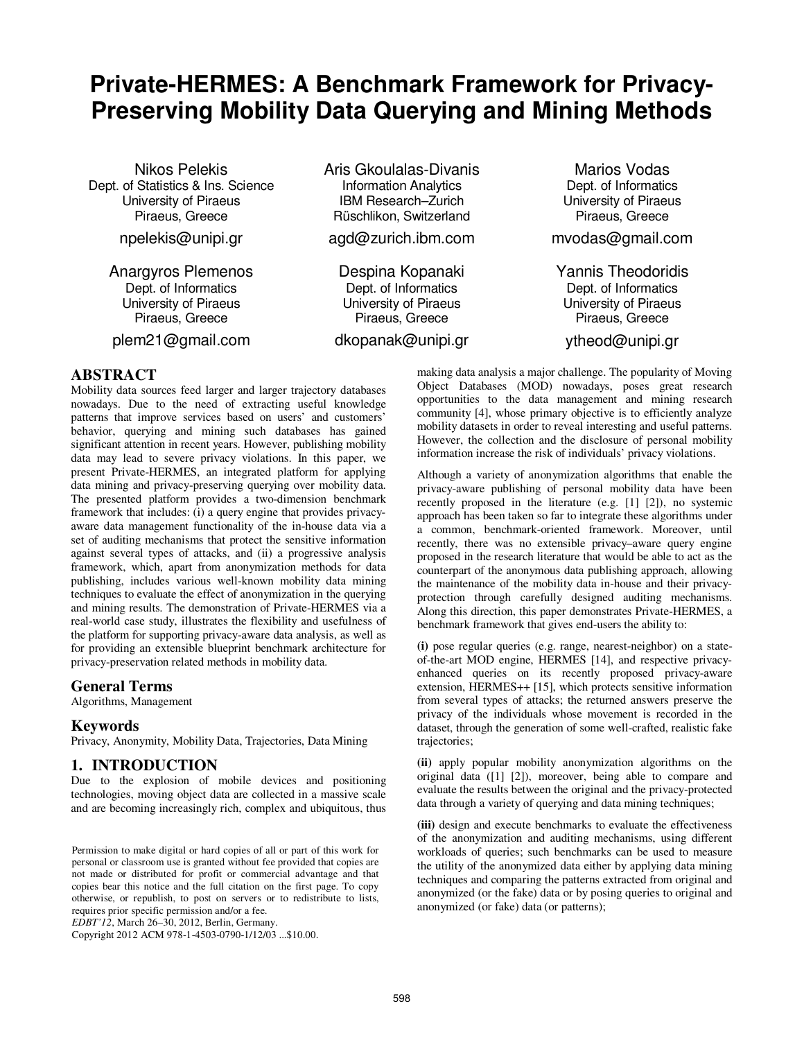# **Private-HERMES: A Benchmark Framework for Privacy-Preserving Mobility Data Querying and Mining Methods**

Nikos Pelekis Dept. of Statistics & Ins. Science University of Piraeus Piraeus, Greece

npelekis@unipi.gr

Anargyros Plemenos Dept. of Informatics University of Piraeus Piraeus, Greece

plem21@gmail.com

## **ABSTRACT**

Mobility data sources feed larger and larger trajectory databases nowadays. Due to the need of extracting useful knowledge patterns that improve services based on users' and customers' behavior, querying and mining such databases has gained significant attention in recent years. However, publishing mobility data may lead to severe privacy violations. In this paper, we present Private-HERMES, an integrated platform for applying data mining and privacy-preserving querying over mobility data. The presented platform provides a two-dimension benchmark framework that includes: (i) a query engine that provides privacyaware data management functionality of the in-house data via a set of auditing mechanisms that protect the sensitive information against several types of attacks, and (ii) a progressive analysis framework, which, apart from anonymization methods for data publishing, includes various well-known mobility data mining techniques to evaluate the effect of anonymization in the querying and mining results. The demonstration of Private-HERMES via a real-world case study, illustrates the flexibility and usefulness of the platform for supporting privacy-aware data analysis, as well as for providing an extensible blueprint benchmark architecture for privacy-preservation related methods in mobility data.

## **General Terms**

Algorithms, Management

## **Keywords**

Privacy, Anonymity, Mobility Data, Trajectories, Data Mining

## **1. INTRODUCTION**

Due to the explosion of mobile devices and positioning technologies, moving object data are collected in a massive scale and are becoming increasingly rich, complex and ubiquitous, thus

Permission to make digital or hard copies of all or part of this work for personal or classroom use is granted without fee provided that copies are not made or distributed for profit or commercial advantage and that copies bear this notice and the full citation on the first page. To copy otherwise, or republish, to post on servers or to redistribute to lists, requires prior specific permission and/or a fee.

*EDBT'12*, March 26–30, 2012, Berlin, Germany.

Copyright 2012 ACM 978-1-4503-0790-1/12/03 ...\$10.00.

Aris Gkoulalas-Divanis Information Analytics IBM Research–Zurich Rüschlikon, Switzerland

agd@zurich.ibm.com

Despina Kopanaki Dept. of Informatics University of Piraeus Piraeus, Greece

dkopanak@unipi.gr

Marios Vodas Dept. of Informatics University of Piraeus Piraeus, Greece

mvodas@gmail.com

Yannis Theodoridis Dept. of Informatics University of Piraeus Piraeus, Greece

ytheod@unipi.gr

making data analysis a major challenge. The popularity of Moving Object Databases (MOD) nowadays, poses great research opportunities to the data management and mining research community [4], whose primary objective is to efficiently analyze mobility datasets in order to reveal interesting and useful patterns. However, the collection and the disclosure of personal mobility information increase the risk of individuals' privacy violations.

Although a variety of anonymization algorithms that enable the privacy-aware publishing of personal mobility data have been recently proposed in the literature (e.g. [1] [2]), no systemic approach has been taken so far to integrate these algorithms under a common, benchmark-oriented framework. Moreover, until recently, there was no extensible privacy–aware query engine proposed in the research literature that would be able to act as the counterpart of the anonymous data publishing approach, allowing the maintenance of the mobility data in-house and their privacyprotection through carefully designed auditing mechanisms. Along this direction, this paper demonstrates Private-HERMES, a benchmark framework that gives end-users the ability to:

**(i)** pose regular queries (e.g. range, nearest-neighbor) on a stateof-the-art MOD engine, HERMES [14], and respective privacyenhanced queries on its recently proposed privacy-aware extension, HERMES++ [15], which protects sensitive information from several types of attacks; the returned answers preserve the privacy of the individuals whose movement is recorded in the dataset, through the generation of some well-crafted, realistic fake trajectories;

**(ii)** apply popular mobility anonymization algorithms on the original data ([1] [2]), moreover, being able to compare and evaluate the results between the original and the privacy-protected data through a variety of querying and data mining techniques;

**(iii)** design and execute benchmarks to evaluate the effectiveness of the anonymization and auditing mechanisms, using different workloads of queries; such benchmarks can be used to measure the utility of the anonymized data either by applying data mining techniques and comparing the patterns extracted from original and anonymized (or the fake) data or by posing queries to original and anonymized (or fake) data (or patterns);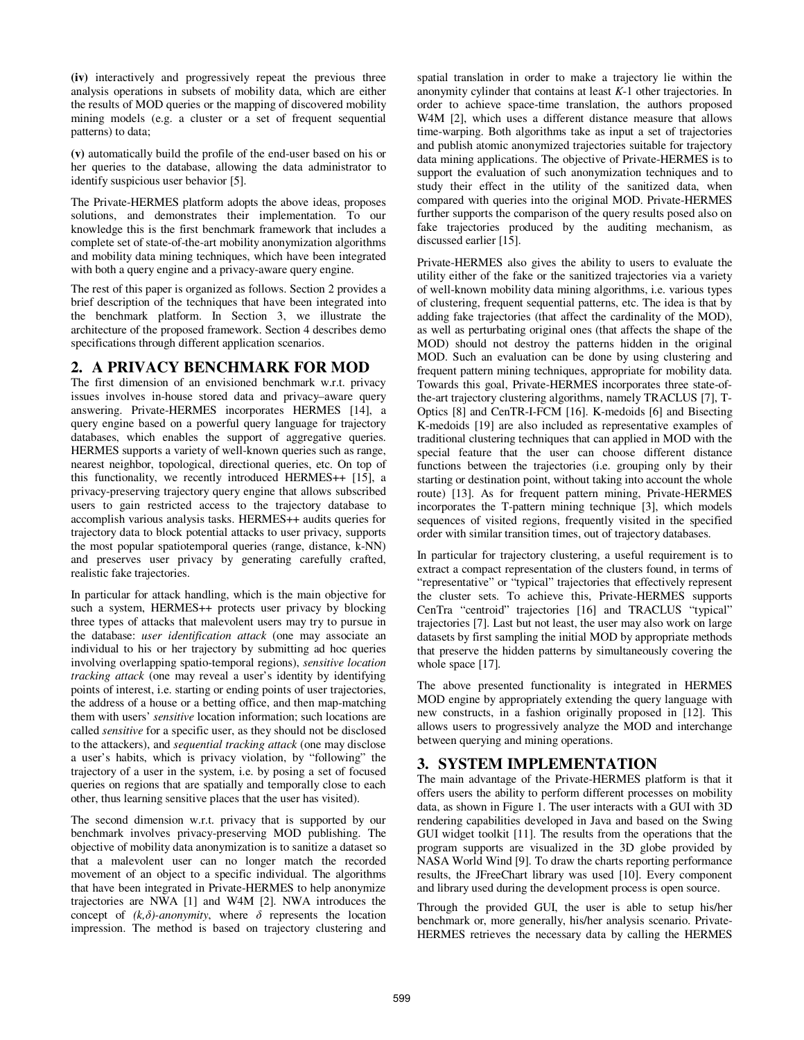**(iv)** interactively and progressively repeat the previous three analysis operations in subsets of mobility data, which are either the results of MOD queries or the mapping of discovered mobility mining models (e.g. a cluster or a set of frequent sequential patterns) to data;

**(v)** automatically build the profile of the end-user based on his or her queries to the database, allowing the data administrator to identify suspicious user behavior [5].

The Private-HERMES platform adopts the above ideas, proposes solutions, and demonstrates their implementation. To our knowledge this is the first benchmark framework that includes a complete set of state-of-the-art mobility anonymization algorithms and mobility data mining techniques, which have been integrated with both a query engine and a privacy-aware query engine.

The rest of this paper is organized as follows. Section 2 provides a brief description of the techniques that have been integrated into the benchmark platform. In Section 3, we illustrate the architecture of the proposed framework. Section 4 describes demo specifications through different application scenarios.

# **2. A PRIVACY BENCHMARK FOR MOD**

The first dimension of an envisioned benchmark w.r.t. privacy issues involves in-house stored data and privacy–aware query answering. Private-HERMES incorporates HERMES [14], a query engine based on a powerful query language for trajectory databases, which enables the support of aggregative queries. HERMES supports a variety of well-known queries such as range, nearest neighbor, topological, directional queries, etc. On top of this functionality, we recently introduced HERMES++ [15], a privacy-preserving trajectory query engine that allows subscribed users to gain restricted access to the trajectory database to accomplish various analysis tasks. HERMES++ audits queries for trajectory data to block potential attacks to user privacy, supports the most popular spatiotemporal queries (range, distance, k-NN) and preserves user privacy by generating carefully crafted, realistic fake trajectories.

In particular for attack handling, which is the main objective for such a system, HERMES++ protects user privacy by blocking three types of attacks that malevolent users may try to pursue in the database: *user identification attack* (one may associate an individual to his or her trajectory by submitting ad hoc queries involving overlapping spatio-temporal regions), *sensitive location tracking attack* (one may reveal a user's identity by identifying points of interest, i.e. starting or ending points of user trajectories, the address of a house or a betting office, and then map-matching them with users' *sensitive* location information; such locations are called *sensitive* for a specific user, as they should not be disclosed to the attackers), and *sequential tracking attack* (one may disclose a user's habits, which is privacy violation, by "following" the trajectory of a user in the system, i.e. by posing a set of focused queries on regions that are spatially and temporally close to each other, thus learning sensitive places that the user has visited).

The second dimension w.r.t. privacy that is supported by our benchmark involves privacy-preserving MOD publishing. The objective of mobility data anonymization is to sanitize a dataset so that a malevolent user can no longer match the recorded movement of an object to a specific individual. The algorithms that have been integrated in Private-HERMES to help anonymize trajectories are NWA [1] and W4M [2]. NWA introduces the concept of  $(k, \delta)$ -*anonymity*, where  $\delta$  represents the location impression. The method is based on trajectory clustering and spatial translation in order to make a trajectory lie within the anonymity cylinder that contains at least *K*-1 other trajectories. In order to achieve space-time translation, the authors proposed W4M [2], which uses a different distance measure that allows time-warping. Both algorithms take as input a set of trajectories and publish atomic anonymized trajectories suitable for trajectory data mining applications. The objective of Private-HERMES is to support the evaluation of such anonymization techniques and to study their effect in the utility of the sanitized data, when compared with queries into the original MOD. Private-HERMES further supports the comparison of the query results posed also on fake trajectories produced by the auditing mechanism, as discussed earlier [15].

Private-HERMES also gives the ability to users to evaluate the utility either of the fake or the sanitized trajectories via a variety of well-known mobility data mining algorithms, i.e. various types of clustering, frequent sequential patterns, etc. The idea is that by adding fake trajectories (that affect the cardinality of the MOD), as well as perturbating original ones (that affects the shape of the MOD) should not destroy the patterns hidden in the original MOD. Such an evaluation can be done by using clustering and frequent pattern mining techniques, appropriate for mobility data. Towards this goal, Private-HERMES incorporates three state-ofthe-art trajectory clustering algorithms, namely TRACLUS [7], T-Optics [8] and CenTR-I-FCM [16]. K-medoids [6] and Bisecting K-medoids [19] are also included as representative examples of traditional clustering techniques that can applied in MOD with the special feature that the user can choose different distance functions between the trajectories (i.e. grouping only by their starting or destination point, without taking into account the whole route) [13]. As for frequent pattern mining, Private-HERMES incorporates the T-pattern mining technique [3], which models sequences of visited regions, frequently visited in the specified order with similar transition times, out of trajectory databases.

In particular for trajectory clustering, a useful requirement is to extract a compact representation of the clusters found, in terms of "representative" or "typical" trajectories that effectively represent the cluster sets. To achieve this, Private-HERMES supports CenTra "centroid" trajectories [16] and TRACLUS "typical" trajectories [7]. Last but not least, the user may also work on large datasets by first sampling the initial MOD by appropriate methods that preserve the hidden patterns by simultaneously covering the whole space [17].

The above presented functionality is integrated in HERMES MOD engine by appropriately extending the query language with new constructs, in a fashion originally proposed in [12]. This allows users to progressively analyze the MOD and interchange between querying and mining operations.

# **3. SYSTEM IMPLEMENTATION**

The main advantage of the Private-HERMES platform is that it offers users the ability to perform different processes on mobility data, as shown in Figure 1. The user interacts with a GUI with 3D rendering capabilities developed in Java and based on the Swing GUI widget toolkit [11]. The results from the operations that the program supports are visualized in the 3D globe provided by NASA World Wind [9]. To draw the charts reporting performance results, the JFreeChart library was used [10]. Every component and library used during the development process is open source.

Through the provided GUI, the user is able to setup his/her benchmark or, more generally, his/her analysis scenario. Private-HERMES retrieves the necessary data by calling the HERMES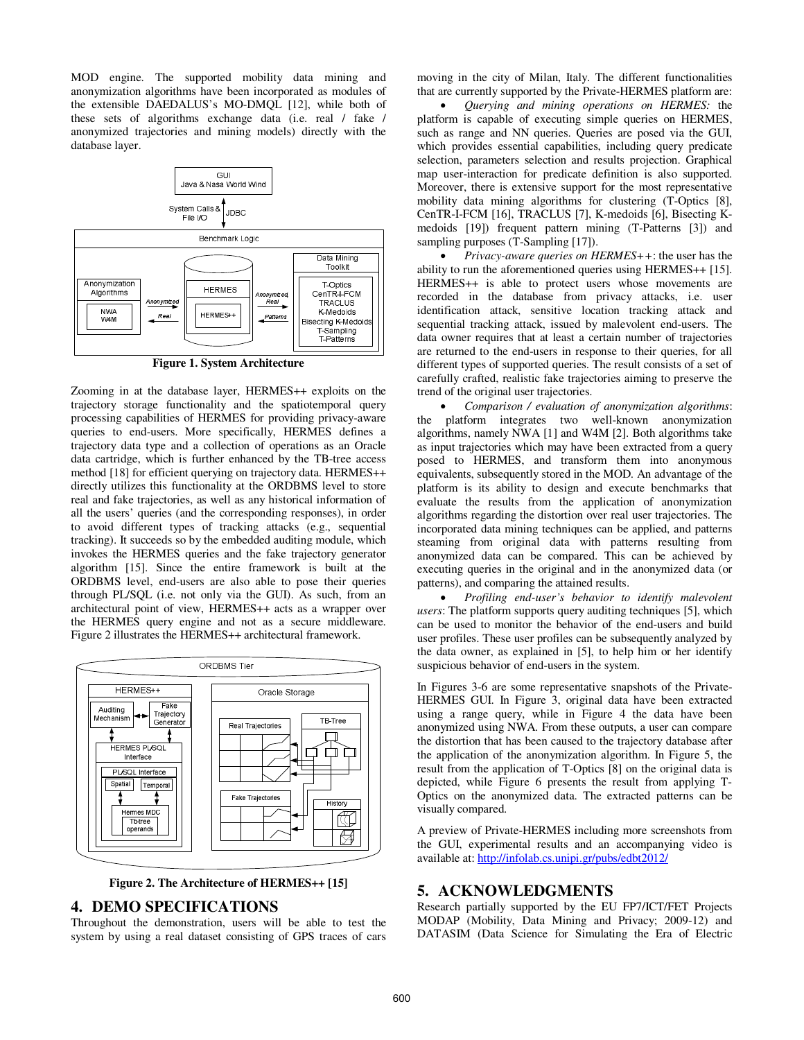MOD engine. The supported mobility data mining and anonymization algorithms have been incorporated as modules of the extensible DAEDALUS's MO-DMQL [12], while both of these sets of algorithms exchange data (i.e. real / fake / anonymized trajectories and mining models) directly with the database layer.



**Figure 1. System Architecture** 

Zooming in at the database layer, HERMES++ exploits on the trajectory storage functionality and the spatiotemporal query processing capabilities of HERMES for providing privacy-aware queries to end-users. More specifically, HERMES defines a trajectory data type and a collection of operations as an Oracle data cartridge, which is further enhanced by the TB-tree access method [18] for efficient querying on trajectory data. HERMES++ directly utilizes this functionality at the ORDBMS level to store real and fake trajectories, as well as any historical information of all the users' queries (and the corresponding responses), in order to avoid different types of tracking attacks (e.g., sequential tracking). It succeeds so by the embedded auditing module, which invokes the HERMES queries and the fake trajectory generator algorithm [15]. Since the entire framework is built at the ORDBMS level, end-users are also able to pose their queries through PL/SQL (i.e. not only via the GUI). As such, from an architectural point of view, HERMES++ acts as a wrapper over the HERMES query engine and not as a secure middleware. Figure 2 illustrates the HERMES++ architectural framework.



**Figure 2. The Architecture of HERMES++ [15]** 

#### **4. DEMO SPECIFICATIONS**

Throughout the demonstration, users will be able to test the system by using a real dataset consisting of GPS traces of cars

moving in the city of Milan, Italy. The different functionalities that are currently supported by the Private-HERMES platform are:

• *Querying and mining operations on HERMES:* the platform is capable of executing simple queries on HERMES, such as range and NN queries. Queries are posed via the GUI, which provides essential capabilities, including query predicate selection, parameters selection and results projection. Graphical map user-interaction for predicate definition is also supported. Moreover, there is extensive support for the most representative mobility data mining algorithms for clustering (T-Optics [8], CenTR-I-FCM [16], TRACLUS [7], K-medoids [6], Bisecting Kmedoids [19]) frequent pattern mining (T-Patterns [3]) and sampling purposes (T-Sampling [17]).

• *Privacy-aware queries on HERMES++*: the user has the ability to run the aforementioned queries using HERMES++ [15]. HERMES++ is able to protect users whose movements are recorded in the database from privacy attacks, i.e. user identification attack, sensitive location tracking attack and sequential tracking attack, issued by malevolent end-users. The data owner requires that at least a certain number of trajectories are returned to the end-users in response to their queries, for all different types of supported queries. The result consists of a set of carefully crafted, realistic fake trajectories aiming to preserve the trend of the original user trajectories.

• *Comparison / evaluation of anonymization algorithms*: the platform integrates two well-known anonymization algorithms, namely NWA [1] and W4M [2]. Both algorithms take as input trajectories which may have been extracted from a query posed to HERMES, and transform them into anonymous equivalents, subsequently stored in the MOD. An advantage of the platform is its ability to design and execute benchmarks that evaluate the results from the application of anonymization algorithms regarding the distortion over real user trajectories. The incorporated data mining techniques can be applied, and patterns steaming from original data with patterns resulting from anonymized data can be compared. This can be achieved by executing queries in the original and in the anonymized data (or patterns), and comparing the attained results.

• *Profiling end-user's behavior to identify malevolent users*: The platform supports query auditing techniques [5], which can be used to monitor the behavior of the end-users and build user profiles. These user profiles can be subsequently analyzed by the data owner, as explained in [5], to help him or her identify suspicious behavior of end-users in the system.

In Figures 3-6 are some representative snapshots of the Private-HERMES GUI. In Figure 3, original data have been extracted using a range query, while in Figure 4 the data have been anonymized using NWA. From these outputs, a user can compare the distortion that has been caused to the trajectory database after the application of the anonymization algorithm. In Figure 5, the result from the application of T-Optics [8] on the original data is depicted, while Figure 6 presents the result from applying T-Optics on the anonymized data. The extracted patterns can be visually compared.

A preview of Private-HERMES including more screenshots from the GUI, experimental results and an accompanying video is available at: http://infolab.cs.unipi.gr/pubs/edbt2012/

#### **5. ACKNOWLEDGMENTS**

Research partially supported by the EU FP7/ICT/FET Projects MODAP (Mobility, Data Mining and Privacy; 2009-12) and DATASIM (Data Science for Simulating the Era of Electric